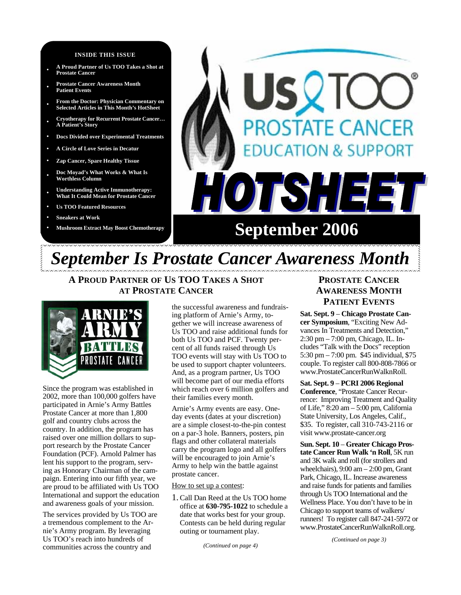#### **INSIDE THIS ISSUE**

- **A Proud Partner of Us TOO Takes a Shot at Prostate Cancer**
- **• Prostate Cancer Awareness Month Patient Events**
- **• From the Doctor: Physician Commentary on Selected Articles in This Month's HotSheet**
- **• Cryotherapy for Recurrent Prostate Cancer… A Patient's Story**
- **• Docs Divided over Experimental Treatments**
- **• A Circle of Love Series in Decatur**
- **• Zap Cancer, Spare Healthy Tissue**
- **• Doc Moyad's What Works & What Is Worthless Column**
- **• Understanding Active Immunotherapy: What It Could Mean for Prostate Cancer**
- **• Us TOO Featured Resources**
- **• Sneakers at Work**
- 

# *OSTATE CANCER* **ION & SUPPORT** FSH E Mushroom Extract May Boost Chemotherapy **September 2006**

## *September Is Prostate Cancer Awareness Month*

**A PROUD PARTNER OF US TOO TAKES A SHOT AT PROSTATE CANCER**



Since the program was established in 2002, more than 100,000 golfers have participated in Arnie's Army Battles Prostate Cancer at more than 1,800 golf and country clubs across the country. In addition, the program has raised over one million dollars to support research by the Prostate Cancer Foundation (PCF). Arnold Palmer has lent his support to the program, serving as Honorary Chairman of the campaign. Entering into our fifth year, we are proud to be affiliated with Us TOO International and support the education and awareness goals of your mission.

The services provided by Us TOO are a tremendous complement to the Arnie's Army program. By leveraging Us TOO's reach into hundreds of communities across the country and

the successful awareness and fundraising platform of Arnie's Army, together we will increase awareness of Us TOO and raise additional funds for both Us TOO and PCF. Twenty percent of all funds raised through Us TOO events will stay with Us TOO to be used to support chapter volunteers. And, as a program partner, Us TOO will become part of our media efforts which reach over 6 million golfers and their families every month.

Arnie's Army events are easy. Oneday events (dates at your discretion) are a simple closest-to-the-pin contest on a par-3 hole. Banners, posters, pin flags and other collateral materials carry the program logo and all golfers will be encouraged to join Arnie's Army to help win the battle against prostate cancer.

#### How to set up a contest:

1. Call Dan Reed at the Us TOO home office at **630-795-1022** to schedule a date that works best for your group. Contests can be held during regular outing or tournament play.

*(Continued on page 4)* 

### **PROSTATE CANCER AWARENESS MONTH PATIENT EVENTS**

**Sat. Sept. 9** – **Chicago Prostate Cancer Symposium**, "Exciting New Advances In Treatments and Detection," 2:30 pm – 7:00 pm, Chicago, IL. Includes "Talk with the Docs" reception 5:30 pm – 7:00 pm. \$45 individual, \$75 couple. To register call 800-808-7866 or www.ProstateCancerRunWalknRoll.

**Sat. Sept. 9** – **PCRI 2006 Regional Conference**, "Prostate Cancer Recurrence: Improving Treatment and Quality of Life," 8:20 am – 5:00 pm, California State University, Los Angeles, Calif., \$35. To register, call 310-743-2116 or visit www.prostate-cancer.org

**Sun. Sept. 10** – **Greater Chicago Prostate Cancer Run Walk 'n Roll**, 5K run and 3K walk and roll (for strollers and wheelchairs),  $9:00 \text{ am} - 2:00 \text{ pm}$ , Grant Park, Chicago, IL. Increase awareness and raise funds for patients and families through Us TOO International and the Wellness Place. You don't have to be in Chicago to support teams of walkers/ runners! To register call 847-241-5972 or www.ProstateCancerRunWalknRoll.org.

*(Continued on page 3)*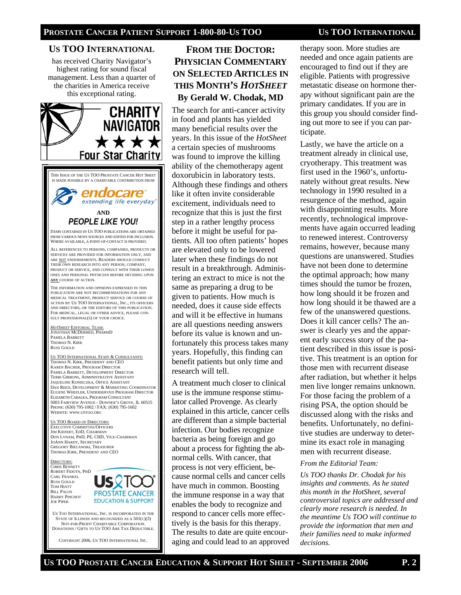#### **US TOO INTERNATIONAL**

has received Charity Navigator's highest rating for sound fiscal management. Less than a quarter of the charities in America receive this exceptional rating.



### **FROM THE DOCTOR: PHYSICIAN COMMENTARY ON SELECTED ARTICLES IN THIS MONTH'S** *HOTSHEET* **By Gerald W. Chodak, MD**

The search for anti-cancer activity in food and plants has yielded many beneficial results over the years. In this issue of the *HotSheet*  a certain species of mushrooms was found to improve the killing ability of the chemotherapy agent doxorubicin in laboratory tests. Although these findings and others like it often invite considerable excitement, individuals need to recognize that this is just the first step in a rather lengthy process before it might be useful for patients. All too often patients' hopes are elevated only to be lowered later when these findings do not result in a breakthrough. Administering an extract to mice is not the same as preparing a drug to be given to patients. How much is needed, does it cause side effects and will it be effective in humans are all questions needing answers before its value is known and unfortunately this process takes many years. Hopefully, this finding can benefit patients but only time and research will tell.

A treatment much closer to clinical use is the immune response stimulator called Provenge. As clearly explained in this article, cancer cells are different than a simple bacterial infection. Our bodies recognize bacteria as being foreign and go about a process for fighting the abnormal cells. With cancer, that process is not very efficient, because normal cells and cancer cells have much in common. Boosting the immune response in a way that enables the body to recognize and respond to cancer cells more effectively is the basis for this therapy. The results to date are quite encouraging and could lead to an approved therapy soon. More studies are needed and once again patients are encouraged to find out if they are eligible. Patients with progressive metastatic disease on hormone therapy without significant pain are the primary candidates. If you are in this group you should consider finding out more to see if you can participate.

Lastly, we have the article on a treatment already in clinical use, cryotherapy. This treatment was first used in the 1960's, unfortunately without great results. New technology in 1990 resulted in a resurgence of the method, again with disappointing results. More recently, technological improvements have again occurred leading to renewed interest. Controversy remains, however, because many questions are unanswered. Studies have not been done to determine the optimal approach; how many times should the tumor be frozen, how long should it be frozen and how long should it be thawed are a few of the unanswered questions. Does it kill cancer cells? The answer is clearly yes and the apparent early success story of the patient described in this issue is positive. This treatment is an option for those men with recurrent disease after radiation, but whether it helps men live longer remains unknown. For those facing the problem of a rising PSA, the option should be discussed along with the risks and benefits. Unfortunately, no definitive studies are underway to determine its exact role in managing men with recurrent disease.

#### *From the Editorial Team:*

*Us TOO thanks Dr. Chodak for his insights and comments. As he stated this month in the HotSheet, several controversial topics are addressed and clearly more research is needed. In the meantime Us TOO will continue to provide the information that men and their families need to make informed decisions.*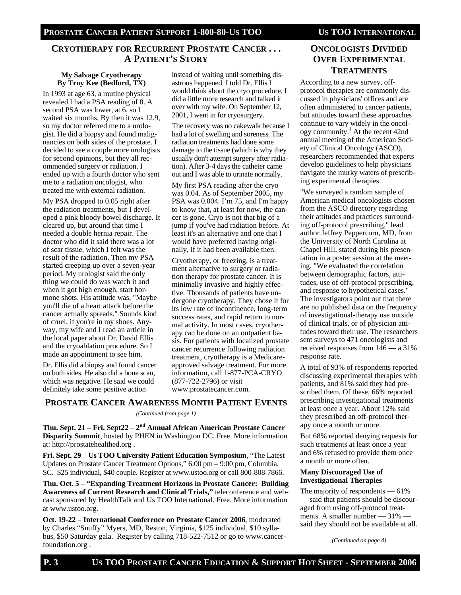### **CRYOTHERAPY FOR RECURRENT PROSTATE CANCER . . . A PATIENT'S STORY**

#### **My Salvage Cryotherapy By Troy Kee (Bedford, TX)**

In 1993 at age 63, a routine physical revealed I had a PSA reading of 8. A second PSA was lower, at 6, so I waited six months. By then it was 12.9, so my doctor referred me to a urologist. He did a biopsy and found malignancies on both sides of the prostate. I decided to see a couple more urologists for second opinions, but they all recommended surgery or radiation. I ended up with a fourth doctor who sent me to a radiation oncologist, who treated me with external radiation.

My PSA dropped to 0.05 right after the radiation treatments, but I developed a pink bloody bowel discharge. It cleared up, but around that time I needed a double hernia repair. The doctor who did it said there was a lot of scar tissue, which I felt was the result of the radiation. Then my PSA started creeping up over a seven-year period. My urologist said the only thing we could do was watch it and when it got high enough, start hormone shots. His attitude was, "Maybe you'll die of a heart attack before the cancer actually spreads." Sounds kind of cruel, if you're in my shoes. Anyway, my wife and I read an article in the local paper about Dr. David Ellis and the cryoablation procedure. So I made an appointment to see him.

Dr. Ellis did a biopsy and found cancer on both sides. He also did a bone scan, which was negative. He said we could definitely take some positive action

instead of waiting until something disastrous happened. I told Dr. Ellis I would think about the cryo procedure. I did a little more research and talked it over with my wife. On September 12, 2001, I went in for cryosurgery.

The recovery was no cakewalk because I had a lot of swelling and soreness. The radiation treatments had done some damage to the tissue (which is why they usually don't attempt surgery after radiation). After 3-4 days the catheter came out and I was able to urinate normally.

My first PSA reading after the cryo was 0.04. As of September 2005, my PSA was 0.004. I'm 75, and I'm happy to know that, at least for now, the cancer is gone. Cryo is not that big of a jump if you've had radiation before. At least it's an alternative and one that I would have preferred having originally, if it had been available then.

Cryotherapy, or freezing, is a treatment alternative to surgery or radiation therapy for prostate cancer. It is minimally invasive and highly effective. Thousands of patients have undergone cryotherapy. They chose it for its low rate of incontinence, long-term success rates, and rapid return to normal activity. In most cases, cryotherapy can be done on an outpatient basis. For patients with localized prostate cancer recurrence following radiation treatment, cryotherapy is a Medicareapproved salvage treatment. For more information, call 1-877-PCA-CRYO (877-722-2796) or visit www.prostatecancer.com.

### **PROSTATE CANCER AWARENESS MONTH PATIENT EVENTS**

#### *(Continued from page 1)*

**Thu. Sept. 21 – Fri. Sept22** – **2nd Annual African American Prostate Cancer Disparity Summit**, hosted by PHEN in Washington DC. Free. More information at: http://prostatehealthed.org .

**Fri. Sept. 29** – **Us TOO University Patient Education Symposium**, "The Latest Updates on Prostate Cancer Treatment Options," 6:00 pm – 9:00 pm, Columbia, SC. \$25 individual, \$40 couple. Register at www.ustoo.org or call 800-808-7866.

**Thu. Oct. 5 – "Expanding Treatment Horizons in Prostate Cancer: Building Awareness of Current Research and Clinical Trials,"** teleconference and webcast sponsored by HealthTalk and Us TOO International. Free. More information at www.ustoo.org.

**Oct. 19-22** – **International Conference on Prostate Cancer 2006**, moderated by Charles "Snuffy" Myers, MD, Reston, Virginia, \$125 individual, \$10 syllabus, \$50 Saturday gala. Register by calling 718-522-7512 or go to www.cancerfoundation.org .

### **ONCOLOGISTS DIVIDED OVER EXPERIMENTAL TREATMENTS**

According to a new survey, offprotocol therapies are commonly discussed in physicians' offices and are often administered to cancer patients, but attitudes toward these approaches continue to vary widely in the oncology community.<sup>1</sup> At the recent 42nd annual meeting of the American Society of Clinical Oncology (ASCO), researchers recommended that experts develop guidelines to help physicians navigate the murky waters of prescribing experimental therapies.

"We surveyed a random sample of American medical oncologists chosen from the ASCO directory regarding their attitudes and practices surrounding off-protocol prescribing," lead author Jeffrey Peppercorn, MD, from the University of North Carolina at Chapel Hill, stated during his presentation in a poster session at the meeting. "We evaluated the correlation between demographic factors, attitudes, use of off-protocol prescribing, and response to hypothetical cases." The investigators point out that there are no published data on the frequency of investigational-therapy use outside of clinical trials, or of physician attitudes toward their use. The researchers sent surveys to 471 oncologists and received responses from 146 — a 31% response rate.

A total of 93% of respondents reported discussing experimental therapies with patients, and 81% said they had prescribed them. Of these, 66% reported prescribing investigational treatments at least once a year. About 12% said they prescribed an off-protocol therapy once a month or more.

But 68% reported denying requests for such treatments at least once a year and 6% refused to provide them once a month or more often.

#### **Many Discouraged Use of Investigational Therapies**

The majority of respondents — 61% — said that patients should be discouraged from using off-protocol treatments. A smaller number — 31% said they should not be available at all.

*(Continued on page 4)*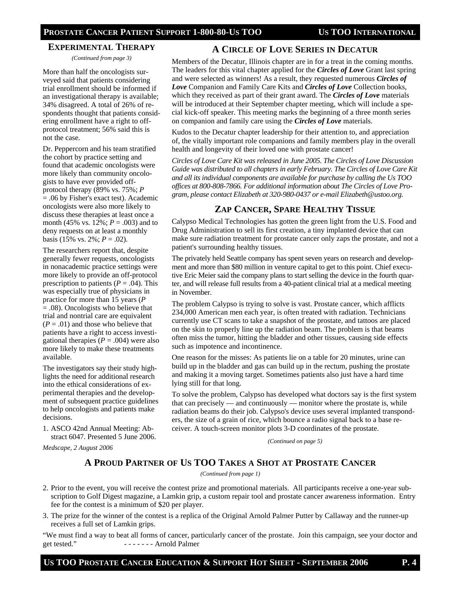#### **EXPERIMENTAL THERAPY**

*(Continued from page 3)* 

More than half the oncologists surveyed said that patients considering trial enrollment should be informed if an investigational therapy is available; 34% disagreed. A total of 26% of respondents thought that patients considering enrollment have a right to offprotocol treatment; 56% said this is not the case.

Dr. Peppercorn and his team stratified the cohort by practice setting and found that academic oncologists were more likely than community oncologists to have ever provided offprotocol therapy (89% vs. 75%; *P* = .06 by Fisher's exact test). Academic oncologists were also more likely to discuss these therapies at least once a month (45% vs. 12%; *P* = .003) and to deny requests on at least a monthly basis (15% vs. 2%;  $P = .02$ ).

The researchers report that, despite generally fewer requests, oncologists in nonacademic practice settings were more likely to provide an off-protocol prescription to patients  $(P = .04)$ . This was especially true of physicians in practice for more than 15 years (*P* = .08). Oncologists who believe that trial and nontrial care are equivalent  $(P = .01)$  and those who believe that patients have a right to access investigational therapies  $(P = .004)$  were also more likely to make these treatments available.

The investigators say their study highlights the need for additional research into the ethical considerations of experimental therapies and the development of subsequent practice guidelines to help oncologists and patients make decisions.

1. ASCO 42nd Annual Meeting: Abstract 6047. Presented 5 June 2006.

*Medscape, 2 August 2006* 

### **A CIRCLE OF LOVE SERIES IN DECATUR**

Members of the Decatur, Illinois chapter are in for a treat in the coming months. The leaders for this vital chapter applied for the *Circles of Love* Grant last spring and were selected as winners! As a result, they requested numerous *Circles of Love* Companion and Family Care Kits and *Circles of Love* Collection books, which they received as part of their grant award. The *Circles of Love* materials will be introduced at their September chapter meeting, which will include a special kick-off speaker. This meeting marks the beginning of a three month series on companion and family care using the *Circles of Love* materials.

Kudos to the Decatur chapter leadership for their attention to, and appreciation of, the vitally important role companions and family members play in the overall health and longevity of their loved one with prostate cancer!

*Circles of Love Care Kit was released in June 2005. The Circles of Love Discussion Guide was distributed to all chapters in early February. The Circles of Love Care Kit and all its individual components are available for purchase by calling the Us TOO offices at 800-808-7866. For additional information about The Circles of Love Program, please contact Elizabeth at 320-980-0437 or e-mail Elizabeth@ustoo.org.* 

### **ZAP CANCER, SPARE HEALTHY TISSUE**

Calypso Medical Technologies has gotten the green light from the U.S. Food and Drug Administration to sell its first creation, a tiny implanted device that can make sure radiation treatment for prostate cancer only zaps the prostate, and not a patient's surrounding healthy tissues.

The privately held Seattle company has spent seven years on research and development and more than \$80 million in venture capital to get to this point. Chief executive Eric Meier said the company plans to start selling the device in the fourth quarter, and will release full results from a 40-patient clinical trial at a medical meeting in November.

The problem Calypso is trying to solve is vast. Prostate cancer, which afflicts 234,000 American men each year, is often treated with radiation. Technicians currently use CT scans to take a snapshot of the prostate, and tattoos are placed on the skin to properly line up the radiation beam. The problem is that beams often miss the tumor, hitting the bladder and other tissues, causing side effects such as impotence and incontinence.

One reason for the misses: As patients lie on a table for 20 minutes, urine can build up in the bladder and gas can build up in the rectum, pushing the prostate and making it a moving target. Sometimes patients also just have a hard time lying still for that long.

To solve the problem, Calypso has developed what doctors say is the first system that can precisely — and continuously — monitor where the prostate is, while radiation beams do their job. Calypso's device uses several implanted transponders, the size of a grain of rice, which bounce a radio signal back to a base receiver. A touch-screen monitor plots 3-D coordinates of the prostate.

*(Continued on page 5)* 

### **A PROUD PARTNER OF US TOO TAKES A SHOT AT PROSTATE CANCER**

*(Continued from page 1)* 

- 2. Prior to the event, you will receive the contest prize and promotional materials. All participants receive a one-year subscription to Golf Digest magazine, a Lamkin grip, a custom repair tool and prostate cancer awareness information. Entry fee for the contest is a minimum of \$20 per player.
- 3. The prize for the winner of the contest is a replica of the Original Arnold Palmer Putter by Callaway and the runner-up receives a full set of Lamkin grips.

"We must find a way to beat all forms of cancer, particularly cancer of the prostate. Join this campaign, see your doctor and get tested." - - - - - - - Arnold Palmer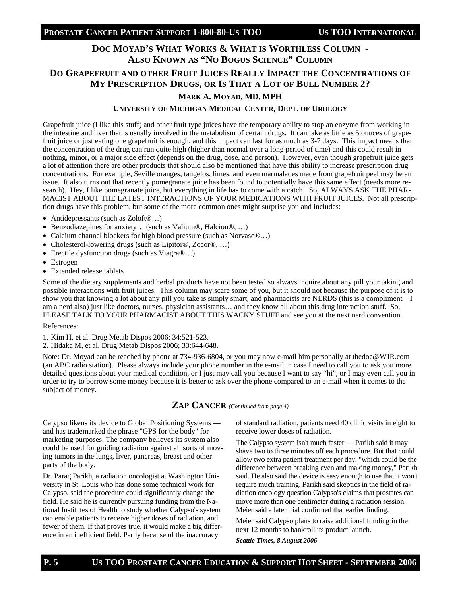### **DOC MOYAD'S WHAT WORKS & WHAT IS WORTHLESS COLUMN - ALSO KNOWN AS "NO BOGUS SCIENCE" COLUMN**

### **DO GRAPEFRUIT AND OTHER FRUIT JUICES REALLY IMPACT THE CONCENTRATIONS OF MY PRESCRIPTION DRUGS, OR IS THAT A LOT OF BULL NUMBER 2?**

### **MARK A. MOYAD, MD, MPH**

#### **UNIVERSITY OF MICHIGAN MEDICAL CENTER, DEPT. OF UROLOGY**

Grapefruit juice (I like this stuff) and other fruit type juices have the temporary ability to stop an enzyme from working in the intestine and liver that is usually involved in the metabolism of certain drugs. It can take as little as 5 ounces of grapefruit juice or just eating one grapefruit is enough, and this impact can last for as much as 3-7 days. This impact means that the concentration of the drug can run quite high (higher than normal over a long period of time) and this could result in nothing, minor, or a major side effect (depends on the drug, dose, and person). However, even though grapefruit juice gets a lot of attention there are other products that should also be mentioned that have this ability to increase prescription drug concentrations. For example, Seville oranges, tangelos, limes, and even marmalades made from grapefruit peel may be an issue. It also turns out that recently pomegranate juice has been found to potentially have this same effect (needs more research). Hey, I like pomegranate juice, but everything in life has to come with a catch! So, ALWAYS ASK THE PHAR-MACIST ABOUT THE LATEST INTERACTIONS OF YOUR MEDICATIONS WITH FRUIT JUICES. Not all prescription drugs have this problem, but some of the more common ones might surprise you and includes:

- Antidepressants (such as Zoloft<sup>®</sup>...)
- Benzodiazepines for anxiety… (such as Valium®, Halcion®, …)
- Calcium channel blockers for high blood pressure (such as Norvasc®...)
- Cholesterol-lowering drugs (such as Lipitor®, Zocor®, ...)
- Erectile dysfunction drugs (such as Viagra®...)
- Estrogen
- Extended release tablets

Some of the dietary supplements and herbal products have not been tested so always inquire about any pill your taking and possible interactions with fruit juices. This column may scare some of you, but it should not because the purpose of it is to show you that knowing a lot about any pill you take is simply smart, and pharmacists are NERDS (this is a compliment—I am a nerd also) just like doctors, nurses, physician assistants… and they know all about this drug interaction stuff. So, PLEASE TALK TO YOUR PHARMACIST ABOUT THIS WACKY STUFF and see you at the next nerd convention.

#### References:

- 1. Kim H, et al. Drug Metab Dispos 2006; 34:521-523.
- 2. Hidaka M, et al. Drug Metab Dispos 2006; 33:644-648.

Note: Dr. Moyad can be reached by phone at 734-936-6804, or you may now e-mail him personally at thedoc@WJR.com (an ABC radio station). Please always include your phone number in the e-mail in case I need to call you to ask you more detailed questions about your medical condition, or I just may call you because I want to say "hi", or I may even call you in order to try to borrow some money because it is better to ask over the phone compared to an e-mail when it comes to the subject of money.

### **ZAP CANCER** *(Continued from page 4)*

Calypso likens its device to Global Positioning Systems and has trademarked the phrase "GPS for the body" for marketing purposes. The company believes its system also could be used for guiding radiation against all sorts of moving tumors in the lungs, liver, pancreas, breast and other parts of the body.

Dr. Parag Parikh, a radiation oncologist at Washington University in St. Louis who has done some technical work for Calypso, said the procedure could significantly change the field. He said he is currently pursuing funding from the National Institutes of Health to study whether Calypso's system can enable patients to receive higher doses of radiation, and fewer of them. If that proves true, it would make a big difference in an inefficient field. Partly because of the inaccuracy

of standard radiation, patients need 40 clinic visits in eight to receive lower doses of radiation.

The Calypso system isn't much faster — Parikh said it may shave two to three minutes off each procedure. But that could allow two extra patient treatment per day, "which could be the difference between breaking even and making money," Parikh said. He also said the device is easy enough to use that it won't require much training. Parikh said skeptics in the field of radiation oncology question Calypso's claims that prostates can move more than one centimeter during a radiation session. Meier said a later trial confirmed that earlier finding.

Meier said Calypso plans to raise additional funding in the next 12 months to bankroll its product launch.

*Seattle Times, 8 August 2006*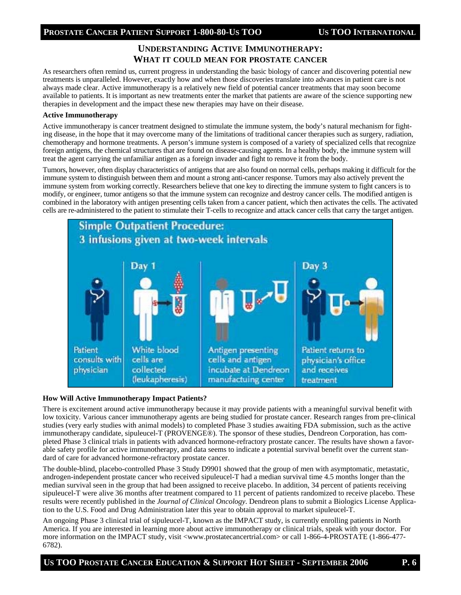#### **PROSTATE CANCER PATIENT SUPPORT 1-800-80-US TOO US TOO INTERNATIONAL**

### **UNDERSTANDING ACTIVE IMMUNOTHERAPY: WHAT IT COULD MEAN FOR PROSTATE CANCER**

As researchers often remind us, current progress in understanding the basic biology of cancer and discovering potential new treatments is unparalleled. However, exactly how and when those discoveries translate into advances in patient care is not always made clear. Active immunotherapy is a relatively new field of potential cancer treatments that may soon become available to patients. It is important as new treatments enter the market that patients are aware of the science supporting new therapies in development and the impact these new therapies may have on their disease.

#### **Active Immunotherapy**

Active immunotherapy is cancer treatment designed to stimulate the immune system, the body's natural mechanism for fighting disease, in the hope that it may overcome many of the limitations of traditional cancer therapies such as surgery, radiation, chemotherapy and hormone treatments. A person's immune system is composed of a variety of specialized cells that recognize foreign antigens, the chemical structures that are found on disease-causing agents. In a healthy body, the immune system will treat the agent carrying the unfamiliar antigen as a foreign invader and fight to remove it from the body.

Tumors, however, often display characteristics of antigens that are also found on normal cells, perhaps making it difficult for the immune system to distinguish between them and mount a strong anti-cancer response. Tumors may also actively prevent the immune system from working correctly. Researchers believe that one key to directing the immune system to fight cancers is to modify, or engineer, tumor antigens so that the immune system can recognize and destroy cancer cells. The modified antigen is combined in the laboratory with antigen presenting cells taken from a cancer patient, which then activates the cells. The activated cells are re-administered to the patient to stimulate their T-cells to recognize and attack cancer cells that carry the target antigen.



#### **How Will Active Immunotherapy Impact Patients?**

There is excitement around active immunotherapy because it may provide patients with a meaningful survival benefit with low toxicity. Various cancer immunotherapy agents are being studied for prostate cancer. Research ranges from pre-clinical studies (very early studies with animal models) to completed Phase 3 studies awaiting FDA submission, such as the active immunotherapy candidate, sipuleucel-T (PROVENGE®). The sponsor of these studies, Dendreon Corporation, has completed Phase 3 clinical trials in patients with advanced hormone-refractory prostate cancer. The results have shown a favorable safety profile for active immunotherapy, and data seems to indicate a potential survival benefit over the current standard of care for advanced hormone-refractory prostate cancer.

The double-blind, placebo-controlled Phase 3 Study D9901 showed that the group of men with asymptomatic, metastatic, androgen-independent prostate cancer who received sipuleucel-T had a median survival time 4.5 months longer than the median survival seen in the group that had been assigned to receive placebo. In addition, 34 percent of patients receiving sipuleucel-T were alive 36 months after treatment compared to 11 percent of patients randomized to receive placebo. These results were recently published in the *Journal of Clinical Oncology*. Dendreon plans to submit a Biologics License Application to the U.S. Food and Drug Administration later this year to obtain approval to market sipuleucel-T.

An ongoing Phase 3 clinical trial of sipuleucel-T, known as the IMPACT study, is currently enrolling patients in North America. If you are interested in learning more about active immunotherapy or clinical trials, speak with your doctor. For more information on the IMPACT study, visit <www.prostatecancertrial.com> or call 1-866-4-PROSTATE (1-866-477-6782).

#### **US TOO PROSTATE CANCER EDUCATION & SUPPORT HOT SHEET - SEPTEMBER 2006 P. 6**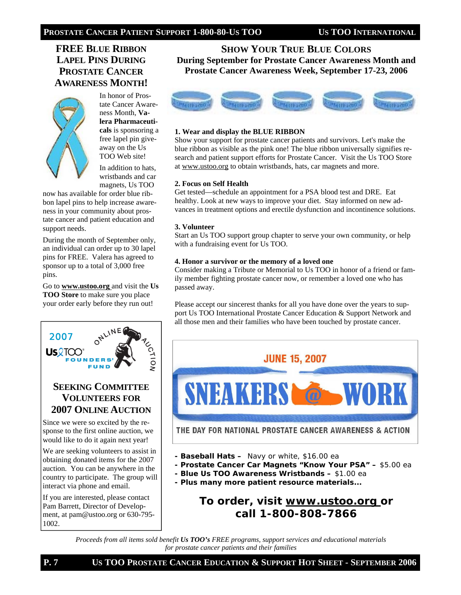### **FREE BLUE RIBBON LAPEL PINS DURING PROSTATE CANCER AWARENESS MONTH!**



In honor of Prostate Cancer Awareness Month, **Valera Pharmaceuticals** is sponsoring a free lapel pin giveaway on the Us TOO Web site!

In addition to hats, wristbands and car magnets, Us TOO

now has available for order blue ribbon lapel pins to help increase awareness in your community about prostate cancer and patient education and support needs.

During the month of September only, an individual can order up to 30 lapel pins for FREE. Valera has agreed to sponsor up to a total of 3,000 free pins.

Go to **www.ustoo.org** and visit the **Us TOO Store** to make sure you place your order early before they run out!



Pam Barrett, Director of Development, at pam@ustoo.org or 630-795- 1002.

**SHOW YOUR TRUE BLUE COLORS During September for Prostate Cancer Awareness Month and Prostate Cancer Awareness Week, September 17-23, 2006**



#### **1. Wear and display the BLUE RIBBON**

Show your support for prostate cancer patients and survivors. Let's make the blue ribbon as visible as the pink one! The blue ribbon universally signifies research and patient support efforts for Prostate Cancer. Visit the Us TOO Store at www.ustoo.org to obtain wristbands, hats, car magnets and more.

#### **2. Focus on Self Health**

Get tested—schedule an appointment for a PSA blood test and DRE. Eat healthy. Look at new ways to improve your diet. Stay informed on new advances in treatment options and erectile dysfunction and incontinence solutions.

#### **3. Volunteer**

Start an Us TOO support group chapter to serve your own community, or help with a fundraising event for Us TOO.

#### **4. Honor a survivor or the memory of a loved one**

Consider making a Tribute or Memorial to Us TOO in honor of a friend or family member fighting prostate cancer now, or remember a loved one who has passed away.

Please accept our sincerest thanks for all you have done over the years to support Us TOO International Prostate Cancer Education & Support Network and all those men and their families who have been touched by prostate cancer.



THE DAY FOR NATIONAL PROSTATE CANCER AWARENESS & ACTION

- **Baseball Hats** Navy or white, \$16.00 ea
- **Prostate Cancer Car Magnets "Know Your PSA"** \$5.00 ea
- **Blue Us TOO Awareness Wristbands** \$1.00 ea
- **Plus many more patient resource materials...**

*To order, visit www.ustoo.org or call 1-800-808-7866*

*Proceeds from all items sold benefit Us TOO's FREE programs, support services and educational materials for prostate cancer patients and their families*